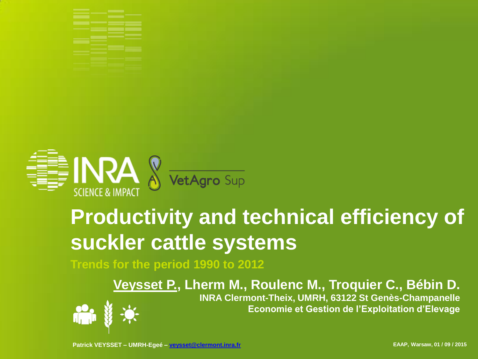



# **Productivity and technical efficiency of suckler cattle systems**

**Trends for the period 1990 to 2012**

**Veysset P., Lherm M., Roulenc M., Troquier C., Bébin D. INRA Clermont-Theix, UMRH, 63122 St Genès-Champanelle**

**Economie et Gestion de l'Exploitation d'Elevage**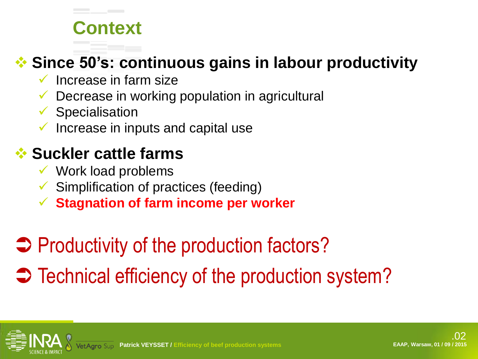# **Context**

#### **Since 50's: continuous gains in labour productivity**

- Increase in farm size
- Decrease in working population in agricultural
- $\checkmark$  Specialisation
- Increase in inputs and capital use

#### **Suckler cattle farms**

- $\checkmark$  Work load problems
- $\checkmark$  Simplification of practices (feeding)
- **Stagnation of farm income per worker**
- **→ Productivity of the production factors?**
- $\Rightarrow$  Technical efficiency of the production system?

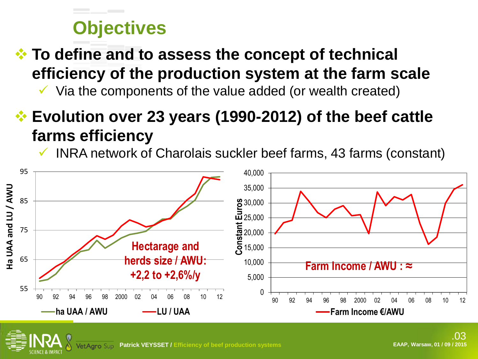# **Objectives**

 **To define and to assess the concept of technical efficiency of the production system at the farm scale**

 $\checkmark$  Via the components of the value added (or wealth created)

### **Evolution over 23 years (1990-2012) of the beef cattle farms efficiency**

INRA network of Charolais suckler beef farms, 43 farms (constant)

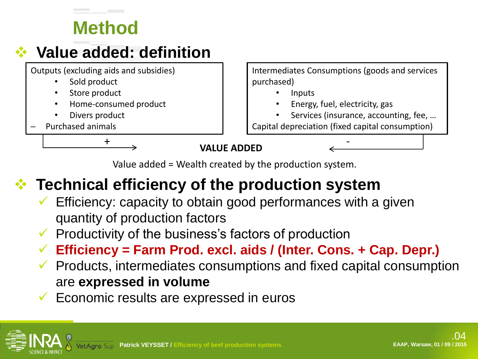# **Method**

#### **Value added: definition**

Outputs (excluding aids and subsidies)

- Sold product
- Store product
- Home-consumed product
- Divers product
- Purchased animals

Intermediates Consumptions (goods and services purchased)

- Inputs
	- Energy, fuel, electricity, gas
- Services (insurance, accounting, fee, ...
- Capital depreciation (fixed capital consumption)

**VALUE ADDED**  $+\qquad \qquad$   $\qquad \qquad$   $\qquad \qquad$   $\qquad \qquad$   $\qquad \qquad$   $\qquad \qquad$   $\qquad \qquad$   $\qquad$   $\qquad$   $\qquad$   $\qquad$   $\qquad$   $\qquad$   $\qquad$   $\qquad$   $\qquad$   $\qquad$   $\qquad$   $\qquad$   $\qquad$   $\qquad$   $\qquad$   $\qquad$   $\qquad$   $\qquad$   $\qquad$   $\qquad$   $\qquad$   $\qquad$   $\qquad$   $\qquad$   $\qquad$   $\qquad$   $\$ 

Value added = Wealth created by the production system.

### **Technical efficiency of the production system**

 Efficiency: capacity to obtain good performances with a given quantity of production factors

 $\checkmark$  Productivity of the business's factors of production

**Efficiency = Farm Prod. excl. aids / (Inter. Cons. + Cap. Depr.)**

- $\checkmark$  Products, intermediates consumptions and fixed capital consumption are **expressed in volume**
- Economic results are expressed in euros

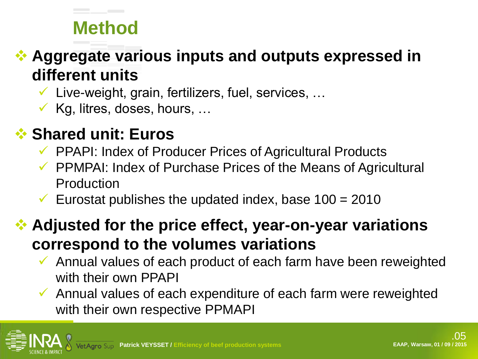# **Method**

#### **Aggregate various inputs and outputs expressed in different units**

 $\checkmark$  Live-weight, grain, fertilizers, fuel, services, ...

 $\checkmark$  Kg, litres, doses, hours, ...

#### **Shared unit: Euros**

- PPAPI: Index of Producer Prices of Agricultural Products
- $\checkmark$  PPMPAI: Index of Purchase Prices of the Means of Agricultural Production
- Eurostat publishes the updated index, base  $100 = 2010$

#### **Adjusted for the price effect, year-on-year variations correspond to the volumes variations**

- $\checkmark$  Annual values of each product of each farm have been reweighted with their own PPAPI
- Annual values of each expenditure of each farm were reweighted with their own respective PPMAPI

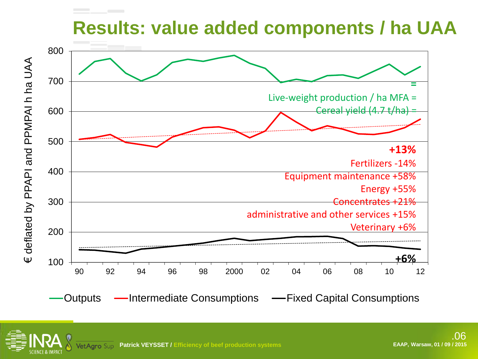# **Results: value added components / ha UAA**



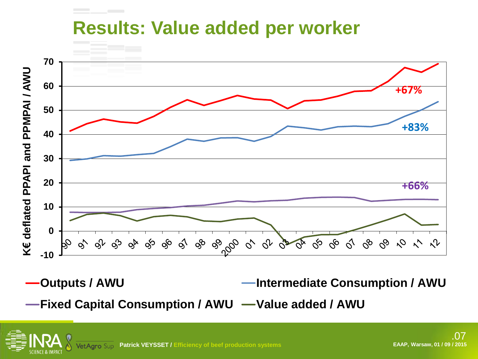### **Results: Value added per worker**



**Outputs / AWU Intermediate Consumption / AWU**

**Fixed Capital Consumption / AWU — Value added / AWU**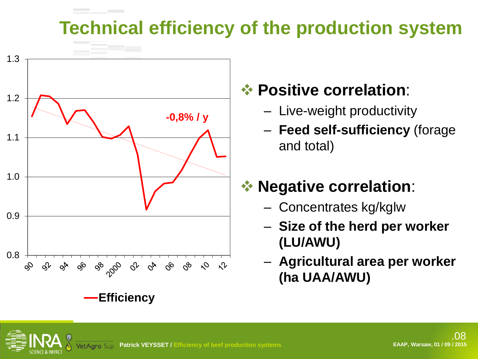# **Technical efficiency of the production system**



#### **Positive correlation**:

- Live-weight productivity
- **Feed self-sufficiency** (forage and total)

# *<b>❖ Negative correlation:*

- Concentrates kg/kglw
- **Size of the herd per worker (LU/AWU)**
- **Agricultural area per worker (ha UAA/AWU)**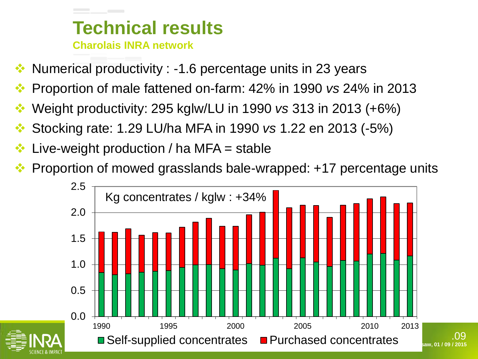#### **Technical results Charolais INRA network**

- Numerical productivity : -1.6 percentage units in 23 years
- Proportion of male fattened on-farm: 42% in 1990 *vs* 24% in 2013
- Weight productivity: 295 kglw/LU in 1990 *vs* 313 in 2013 (+6%)
- Stocking rate: 1.29 LU/ha MFA in 1990 *vs* 1.22 en 2013 (-5%)
- Live-weight production / ha MFA = stable
- Proportion of mowed grasslands bale-wrapped: +17 percentage units



.09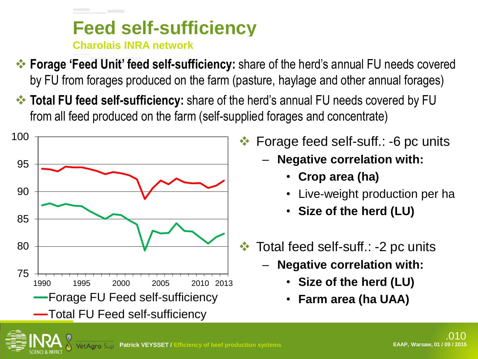#### **Feed self-sufficiency Charolais INRA network**

- **Forage 'Feed Unit' feed self-sufficiency:** share of the herd's annual FU needs covered by FU from forages produced on the farm (pasture, haylage and other annual forages)
- **Total FU feed self-sufficiency:** share of the herd's annual FU needs covered by FU from all feed produced on the farm (self-supplied forages and concentrate)



- Forage feed self-suff.: -6 pc units
	- **Negative correlation with:**
		- **Crop area (ha)**
		- Live-weight production per ha
		- **Size of the herd (LU)**
- **★ Total feed self-suff.: -2 pc units** 
	- **Negative correlation with:** 
		- **Size of the herd (LU)**
		- **Farm area (ha UAA)**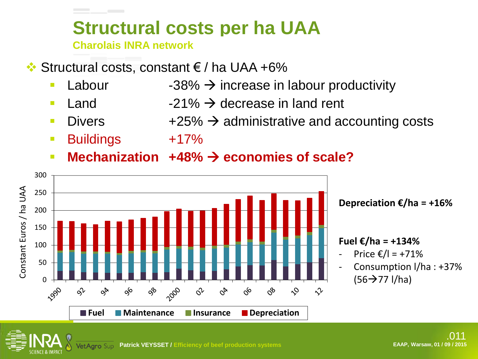# **Structural costs per ha UAA**

**Charolais INRA network**

- $\cdot$  Structural costs, constant € / ha UAA +6%
	- **Labour** -38%  $\rightarrow$  increase in labour productivity
	- **Land**  $-21\% \rightarrow$  **decrease in land rent**
	- Divers  $+25\% \rightarrow$  administrative and accounting costs
	- Buildings +17%
	- Mechanization +48% → economies of scale?





#### **Fuel €/ha = +134%**

- Price €/l = +71%
- Consumption I/ha : +37%  $(56 \rightarrow 77$  I/ha)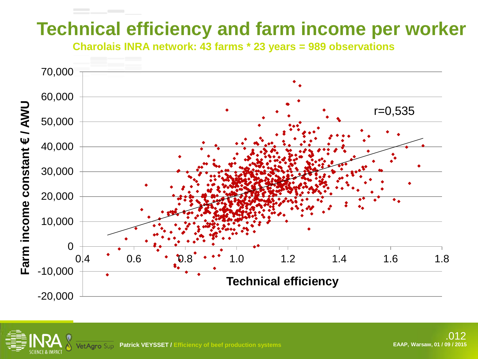# **Technical efficiency and farm income per worker**

**Charolais INRA network: 43 farms \* 23 years = 989 observations**

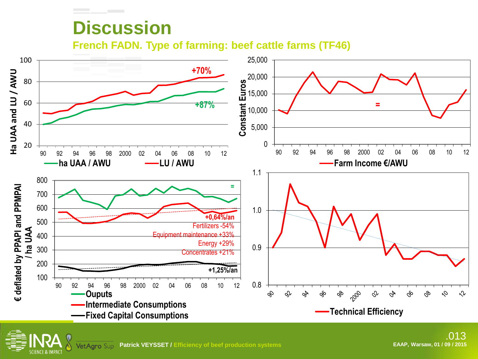# **Discussion**

**French FADN. Type of farming: beef cattle farms (TF46)**

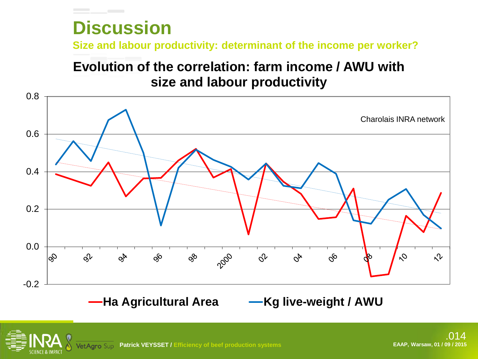# **Discussion**

**Size and labour productivity: determinant of the income per worker?**

#### **Evolution of the correlation: farm income / AWU with size and labour productivity**